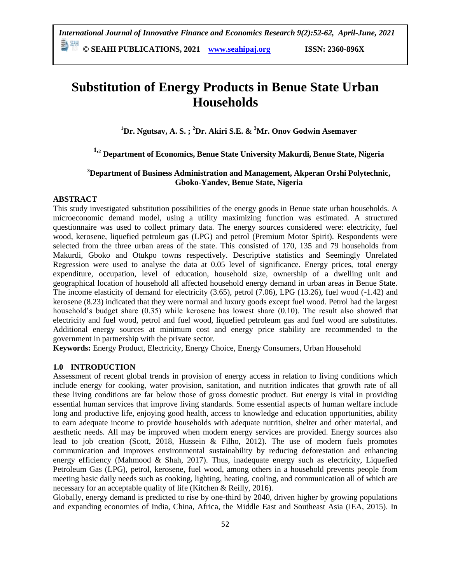**© SEAHI PUBLICATIONS, 2021 [www.seahipaj.org](http://www.seahipaj.org/) ISSN: 2360-896X**

# **Substitution of Energy Products in Benue State Urban Households**

**<sup>1</sup>Dr. Ngutsav, A. S. ; <sup>2</sup>Dr. Akiri S.E. & <sup>3</sup>Mr. Onov Godwin Asemaver**

## **1,<sup>2</sup> Department of Economics, Benue State University Makurdi, Benue State, Nigeria**

## **<sup>3</sup>Department of Business Administration and Management, Akperan Orshi Polytechnic, Gboko-Yandev, Benue State, Nigeria**

## **ABSTRACT**

This study investigated substitution possibilities of the energy goods in Benue state urban households. A microeconomic demand model, using a utility maximizing function was estimated. A structured questionnaire was used to collect primary data. The energy sources considered were: electricity, fuel wood, kerosene, liquefied petroleum gas (LPG) and petrol (Premium Motor Spirit). Respondents were selected from the three urban areas of the state. This consisted of 170, 135 and 79 households from Makurdi, Gboko and Otukpo towns respectively. Descriptive statistics and Seemingly Unrelated Regression were used to analyse the data at 0.05 level of significance. Energy prices, total energy expenditure, occupation, level of education, household size, ownership of a dwelling unit and geographical location of household all affected household energy demand in urban areas in Benue State. The income elasticity of demand for electricity (3.65), petrol (7.06), LPG (13.26), fuel wood (-1.42) and kerosene (8.23) indicated that they were normal and luxury goods except fuel wood. Petrol had the largest household"s budget share (0.35) while kerosene has lowest share (0.10). The result also showed that electricity and fuel wood, petrol and fuel wood, liquefied petroleum gas and fuel wood are substitutes. Additional energy sources at minimum cost and energy price stability are recommended to the government in partnership with the private sector.

**Keywords:** Energy Product, Electricity, Energy Choice, Energy Consumers, Urban Household

## **1.0 INTRODUCTION**

Assessment of recent global trends in provision of energy access in relation to living conditions which include energy for cooking, water provision, sanitation, and nutrition indicates that growth rate of all these living conditions are far below those of gross domestic product. But energy is vital in providing essential human services that improve living standards. Some essential aspects of human welfare include long and productive life, enjoying good health, access to knowledge and education opportunities, ability to earn adequate income to provide households with adequate nutrition, shelter and other material, and aesthetic needs. All may be improved when modern energy services are provided. Energy sources also lead to job creation (Scott, 2018, Hussein & Filho, 2012). The use of modern fuels promotes communication and improves environmental sustainability by reducing deforestation and enhancing energy efficiency (Mahmood & Shah, 2017). Thus, inadequate energy such as electricity, Liquefied Petroleum Gas (LPG), petrol, kerosene, fuel wood, among others in a household prevents people from meeting basic daily needs such as cooking, lighting, heating, cooling, and communication all of which are necessary for an acceptable quality of life (Kitchen & Reilly, 2016).

Globally, energy demand is predicted to rise by one-third by 2040, driven higher by growing populations and expanding economies of India, China, Africa, the Middle East and Southeast Asia (IEA, 2015). In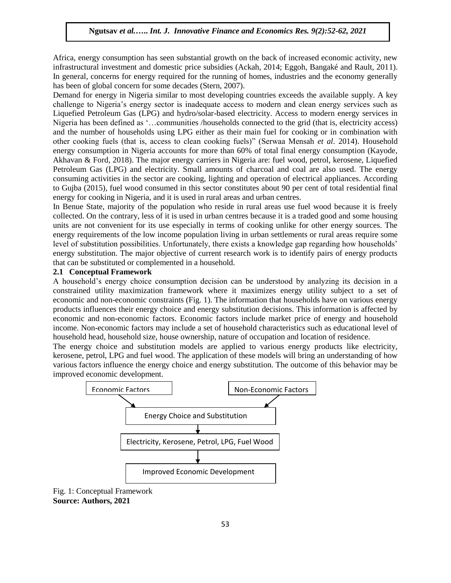Africa, energy consumption has seen substantial growth on the back of increased economic activity, new infrastructural investment and domestic price subsidies (Ackah, 2014; Eggoh, Bangaké and Rault, 2011). In general, concerns for energy required for the running of homes, industries and the economy generally has been of global concern for some decades (Stern, 2007).

Demand for energy in Nigeria similar to most developing countries exceeds the available supply. A key challenge to Nigeria"s energy sector is inadequate access to modern and clean energy services such as Liquefied Petroleum Gas (LPG) and hydro/solar-based electricity. Access to modern energy services in Nigeria has been defined as "…communities /households connected to the grid (that is, electricity access) and the number of households using LPG either as their main fuel for cooking or in combination with other cooking fuels (that is, access to clean cooking fuels)" (Serwaa Mensah *et al*. 2014). Household energy consumption in Nigeria accounts for more than 60% of total final energy consumption (Kayode, Akhavan & Ford, 2018). The major energy carriers in Nigeria are: fuel wood, petrol, kerosene, Liquefied Petroleum Gas (LPG) and electricity. Small amounts of charcoal and coal are also used. The energy consuming activities in the sector are cooking, lighting and operation of electrical appliances. According to Gujba (2015), fuel wood consumed in this sector constitutes about 90 per cent of total residential final energy for cooking in Nigeria, and it is used in rural areas and urban centres.

In Benue State, majority of the population who reside in rural areas use fuel wood because it is freely collected. On the contrary, less of it is used in urban centres because it is a traded good and some housing units are not convenient for its use especially in terms of cooking unlike for other energy sources. The energy requirements of the low income population living in urban settlements or rural areas require some level of substitution possibilities. Unfortunately, there exists a knowledge gap regarding how households" energy substitution. The major objective of current research work is to identify pairs of energy products that can be substituted or complemented in a household.

#### **2.1 Conceptual Framework**

A household"s energy choice consumption decision can be understood by analyzing its decision in a constrained utility maximization framework where it maximizes energy utility subject to a set of economic and non-economic constraints (Fig. 1). The information that households have on various energy products influences their energy choice and energy substitution decisions. This information is affected by economic and non-economic factors. Economic factors include market price of energy and household income. Non-economic factors may include a set of household characteristics such as educational level of household head, household size, house ownership, nature of occupation and location of residence.

The energy choice and substitution models are applied to various energy products like electricity, kerosene, petrol, LPG and fuel wood. The application of these models will bring an understanding of how various factors influence the energy choice and energy substitution. The outcome of this behavior may be improved economic development.



Fig. 1: Conceptual Framework **Source: Authors, 2021**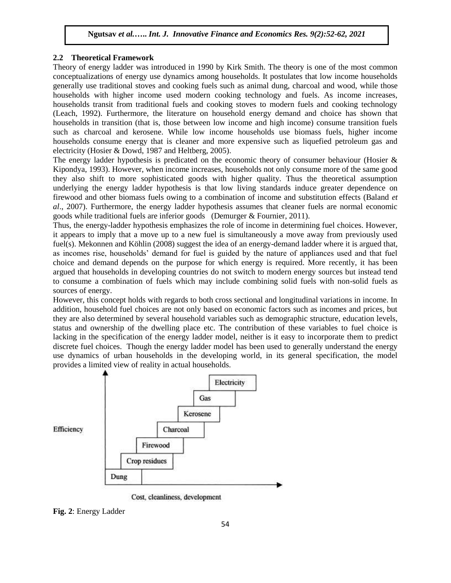#### **2.2 Theoretical Framework**

Theory of energy ladder was introduced in 1990 by Kirk Smith. The theory is one of the most common conceptualizations of energy use dynamics among households. It postulates that low income households generally use traditional stoves and cooking fuels such as animal dung, charcoal and wood, while those households with higher income used modern cooking technology and fuels. As income increases, households transit from traditional fuels and cooking stoves to modern fuels and cooking technology (Leach, 1992). Furthermore, the literature on household energy demand and choice has shown that households in transition (that is, those between low income and high income) consume transition fuels such as charcoal and kerosene. While low income households use biomass fuels, higher income households consume energy that is cleaner and more expensive such as liquefied petroleum gas and electricity (Hosier & Dowd, 1987 and Heltberg, 2005).

The energy ladder hypothesis is predicated on the economic theory of consumer behaviour (Hosier  $\&$ Kipondya, 1993). However, when income increases, households not only consume more of the same good they also shift to more sophisticated goods with higher quality. Thus the theoretical assumption underlying the energy ladder hypothesis is that low living standards induce greater dependence on firewood and other biomass fuels owing to a combination of income and substitution effects (Baland *et al*., 2007). Furthermore, the energy ladder hypothesis assumes that cleaner fuels are normal economic goods while traditional fuels are inferior goods (Demurger & Fournier, 2011).

Thus, the energy-ladder hypothesis emphasizes the role of income in determining fuel choices. However, it appears to imply that a move up to a new fuel is simultaneously a move away from previously used fuel(s). Mekonnen and Köhlin (2008) suggest the idea of an energy-demand ladder where it is argued that, as incomes rise, households" demand for fuel is guided by the nature of appliances used and that fuel choice and demand depends on the purpose for which energy is required. More recently, it has been argued that households in developing countries do not switch to modern energy sources but instead tend to consume a combination of fuels which may include combining solid fuels with non-solid fuels as sources of energy.

However, this concept holds with regards to both cross sectional and longitudinal variations in income. In addition, household fuel choices are not only based on economic factors such as incomes and prices, but they are also determined by several household variables such as demographic structure, education levels, status and ownership of the dwelling place etc. The contribution of these variables to fuel choice is lacking in the specification of the energy ladder model, neither is it easy to incorporate them to predict discrete fuel choices. Though the energy ladder model has been used to generally understand the energy use dynamics of urban households in the developing world, in its general specification, the model provides a limited view of reality in actual households.



Cost, cleanliness, development

**Fig. 2**: Energy Ladder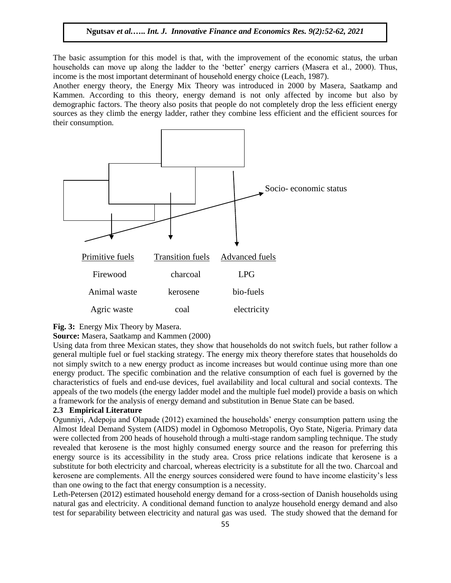The basic assumption for this model is that, with the improvement of the economic status, the urban households can move up along the ladder to the 'better' energy carriers (Masera et al., 2000). Thus, income is the most important determinant of household energy choice (Leach, 1987).

Another energy theory, the Energy Mix Theory was introduced in 2000 by Masera, Saatkamp and Kammen. According to this theory, energy demand is not only affected by income but also by demographic factors. The theory also posits that people do not completely drop the less efficient energy sources as they climb the energy ladder, rather they combine less efficient and the efficient sources for their consumption.



**Fig. 3:** Energy Mix Theory by Masera.

**Source:** Masera, Saatkamp and Kammen (2000)

Using data from three Mexican states, they show that households do not switch fuels, but rather follow a general multiple fuel or fuel stacking strategy. The energy mix theory therefore states that households do not simply switch to a new energy product as income increases but would continue using more than one energy product. The specific combination and the relative consumption of each fuel is governed by the characteristics of fuels and end-use devices, fuel availability and local cultural and social contexts. The appeals of the two models (the energy ladder model and the multiple fuel model) provide a basis on which a framework for the analysis of energy demand and substitution in Benue State can be based.

#### **2.3 Empirical Literature**

Ogunniyi, Adepoju and Olapade (2012) examined the households" energy consumption pattern using the Almost Ideal Demand System (AIDS) model in Ogbomoso Metropolis, Oyo State, Nigeria. Primary data were collected from 200 heads of household through a multi-stage random sampling technique. The study revealed that kerosene is the most highly consumed energy source and the reason for preferring this energy source is its accessibility in the study area. Cross price relations indicate that kerosene is a substitute for both electricity and charcoal, whereas electricity is a substitute for all the two. Charcoal and kerosene are complements. All the energy sources considered were found to have income elasticity"s less than one owing to the fact that energy consumption is a necessity.

Leth-Petersen (2012) estimated household energy demand for a cross-section of Danish households using natural gas and electricity. A conditional demand function to analyze household energy demand and also test for separability between electricity and natural gas was used. The study showed that the demand for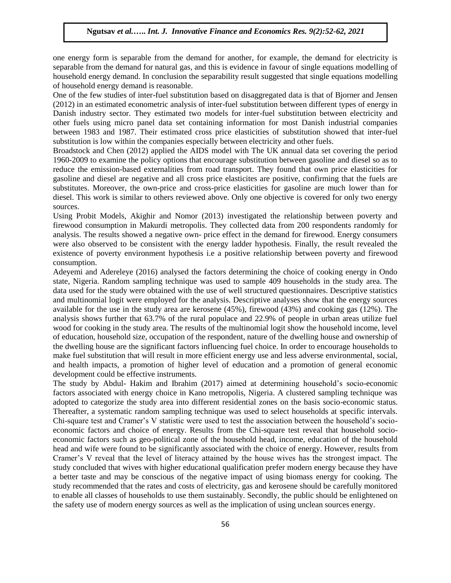one energy form is separable from the demand for another, for example, the demand for electricity is separable from the demand for natural gas, and this is evidence in favour of single equations modelling of household energy demand. In conclusion the separability result suggested that single equations modelling of household energy demand is reasonable.

One of the few studies of inter-fuel substitution based on disaggregated data is that of Bjorner and Jensen (2012) in an estimated econometric analysis of inter-fuel substitution between different types of energy in Danish industry sector. They estimated two models for inter-fuel substitution between electricity and other fuels using micro panel data set containing information for most Danish industrial companies between 1983 and 1987. Their estimated cross price elasticities of substitution showed that inter-fuel substitution is low within the companies especially between electricity and other fuels.

Broadstock and Chen (2012) applied the AIDS model with The UK annual data set covering the period 1960-2009 to examine the policy options that encourage substitution between gasoline and diesel so as to reduce the emission-based externalities from road transport. They found that own price elasticities for gasoline and diesel are negative and all cross price elasticites are positive, confirming that the fuels are substitutes. Moreover, the own-price and cross-price elasticities for gasoline are much lower than for diesel. This work is similar to others reviewed above. Only one objective is covered for only two energy sources.

Using Probit Models, Akighir and Nomor (2013) investigated the relationship between poverty and firewood consumption in Makurdi metropolis. They collected data from 200 respondents randomly for analysis. The results showed a negative own- price effect in the demand for firewood. Energy consumers were also observed to be consistent with the energy ladder hypothesis. Finally, the result revealed the existence of poverty environment hypothesis i.e a positive relationship between poverty and firewood consumption.

Adeyemi and Adereleye (2016) analysed the factors determining the choice of cooking energy in Ondo state, Nigeria. Random sampling technique was used to sample 409 households in the study area. The data used for the study were obtained with the use of well structured questionnaires. Descriptive statistics and multinomial logit were employed for the analysis. Descriptive analyses show that the energy sources available for the use in the study area are kerosene (45%), firewood (43%) and cooking gas (12%). The analysis shows further that 63.7% of the rural populace and 22.9% of people in urban areas utilize fuel wood for cooking in the study area. The results of the multinomial logit show the household income, level of education, household size, occupation of the respondent, nature of the dwelling house and ownership of the dwelling house are the significant factors influencing fuel choice. In order to encourage households to make fuel substitution that will result in more efficient energy use and less adverse environmental, social, and health impacts, a promotion of higher level of education and a promotion of general economic development could be effective instruments.

The study by Abdul- Hakim and Ibrahim (2017) aimed at determining household"s socio-economic factors associated with energy choice in Kano metropolis, Nigeria. A clustered sampling technique was adopted to categorize the study area into different residential zones on the basis socio-economic status. Thereafter, a systematic random sampling technique was used to select households at specific intervals. Chi-square test and Cramer's V statistic were used to test the association between the household's socioeconomic factors and choice of energy. Results from the Chi-square test reveal that household socioeconomic factors such as geo-political zone of the household head, income, education of the household head and wife were found to be significantly associated with the choice of energy. However, results from Cramer"s V reveal that the level of literacy attained by the house wives has the strongest impact. The study concluded that wives with higher educational qualification prefer modern energy because they have a better taste and may be conscious of the negative impact of using biomass energy for cooking. The study recommended that the rates and costs of electricity, gas and kerosene should be carefully monitored to enable all classes of households to use them sustainably. Secondly, the public should be enlightened on the safety use of modern energy sources as well as the implication of using unclean sources energy.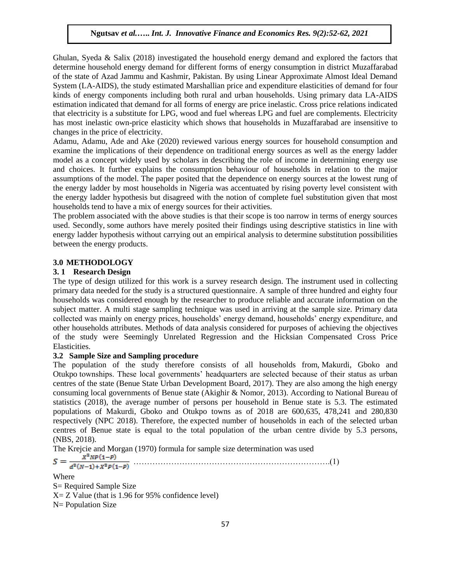Ghulan, Syeda & Salix (2018) investigated the household energy demand and explored the factors that determine household energy demand for different forms of energy consumption in district Muzaffarabad of the state of Azad Jammu and Kashmir, Pakistan. By using Linear Approximate Almost Ideal Demand System (LA-AIDS), the study estimated Marshallian price and expenditure elasticities of demand for four kinds of energy components including both rural and urban households. Using primary data LA-AIDS estimation indicated that demand for all forms of energy are price inelastic. Cross price relations indicated that electricity is a substitute for LPG, wood and fuel whereas LPG and fuel are complements. Electricity has most inelastic own-price elasticity which shows that households in Muzaffarabad are insensitive to changes in the price of electricity.

Adamu, Adamu, Ade and Ake (2020) reviewed various energy sources for household consumption and examine the implications of their dependence on traditional energy sources as well as the energy ladder model as a concept widely used by scholars in describing the role of income in determining energy use and choices. It further explains the consumption behaviour of households in relation to the major assumptions of the model. The paper posited that the dependence on energy sources at the lowest rung of the energy ladder by most households in Nigeria was accentuated by rising poverty level consistent with the energy ladder hypothesis but disagreed with the notion of complete fuel substitution given that most households tend to have a mix of energy sources for their activities.

The problem associated with the above studies is that their scope is too narrow in terms of energy sources used. Secondly, some authors have merely posited their findings using descriptive statistics in line with energy ladder hypothesis without carrying out an empirical analysis to determine substitution possibilities between the energy products.

## **3.0 METHODOLOGY**

## **3. 1 Research Design**

The type of design utilized for this work is a survey research design. The instrument used in collecting primary data needed for the study is a structured questionnaire. A sample of three hundred and eighty four households was considered enough by the researcher to produce reliable and accurate information on the subject matter. A multi stage sampling technique was used in arriving at the sample size. Primary data collected was mainly on energy prices, households" energy demand, households" energy expenditure, and other households attributes. Methods of data analysis considered for purposes of achieving the objectives of the study were Seemingly Unrelated Regression and the Hicksian Compensated Cross Price Elasticities.

## **3.2 Sample Size and Sampling procedure**

The population of the study therefore consists of all households from, Makurdi, Gboko and Otukpo townships. These local governments" headquarters are selected because of their status as urban centres of the state (Benue State Urban Development Board, 2017). They are also among the high energy consuming local governments of Benue state (Akighir & Nomor, 2013). According to National Bureau of statistics (2018), the average number of persons per household in Benue state is 5.3. The estimated populations of Makurdi, Gboko and Otukpo towns as of 2018 are 600,635, 478,241 and 280,830 respectively (NPC 2018). Therefore, the expected number of households in each of the selected urban centres of Benue state is equal to the total population of the urban centre divide by 5.3 persons, (NBS, 2018).

The Krejcie and Morgan (1970) formula for sample size determination was used  $X^2NP(1-P)$ 

 ……………………………………………………………….(1)  $S =$ 

Where

S= Required Sample Size  $X = Z$  Value (that is 1.96 for 95% confidence level) N= Population Size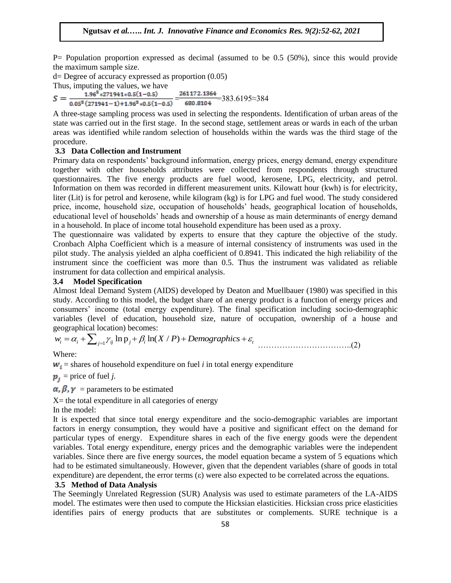P= Population proportion expressed as decimal (assumed to be 0.5 (50%), since this would provide the maximum sample size.

 $d=$  Degree of accuracy expressed as proportion  $(0.05)$ Thus, imputing the values, we have

 $\frac{1.96^{\circ} * 271941 * 0.5(1-0.5)}{0.05^2 (271941 - 1) + 1.96^2 * 0.5(1-0.5)} = \frac{261172.1364}{680.8104} = 383.6195 \approx 384$  $S =$ 

A three-stage sampling process was used in selecting the respondents. Identification of urban areas of the state was carried out in the first stage. In the second stage, settlement areas or wards in each of the urban areas was identified while random selection of households within the wards was the third stage of the procedure.

## **3.3 Data Collection and Instrument**

Primary data on respondents" background information, energy prices, energy demand, energy expenditure together with other households attributes were collected from respondents through structured questionnaires. The five energy products are fuel wood, kerosene, LPG, electricity, and petrol. Information on them was recorded in different measurement units. Kilowatt hour (kwh) is for electricity, liter (Lit) is for petrol and kerosene, while kilogram (kg) is for LPG and fuel wood. The study considered price, income, household size, occupation of households' heads, geographical location of households, educational level of households" heads and ownership of a house as main determinants of energy demand in a household. In place of income total household expenditure has been used as a proxy.

The questionnaire was validated by experts to ensure that they capture the objective of the study. Cronbach Alpha Coefficient which is a measure of internal consistency of instruments was used in the pilot study. The analysis yielded an alpha coefficient of 0.8941. This indicated the high reliability of the instrument since the coefficient was more than 0.5. Thus the instrument was validated as reliable instrument for data collection and empirical analysis.

#### **3.4 Model Specification**

Almost Ideal Demand System (AIDS) developed by Deaton and Muellbauer (1980) was specified in this study. According to this model, the budget share of an energy product is a function of energy prices and consumers" income (total energy expenditure). The final specification including socio-demographic variables (level of education, household size, nature of occupation, ownership of a house and ln p ln( / ) *i i ij j i t <sup>j</sup> w X P Demographics* geographical location) becomes:

$$
w_i = \alpha_i + \sum_{j=1}^{\infty} \gamma_{ij} \ln p_j + \beta_i \ln(X/P) + Demographies + \varepsilon_t
$$
 (2)

Where:

 $w_i$  = shares of household expenditure on fuel *i* in total energy expenditure

 $\mathbf{p}_i$  = price of fuel *j*.

 $\alpha$ ,  $\beta$ ,  $\gamma$  = parameters to be estimated

 $X=$  the total expenditure in all categories of energy

In the model:

It is expected that since total energy expenditure and the socio-demographic variables are important factors in energy consumption, they would have a positive and significant effect on the demand for particular types of energy. Expenditure shares in each of the five energy goods were the dependent variables. Total energy expenditure, energy prices and the demographic variables were the independent variables. Since there are five energy sources, the model equation became a system of 5 equations which had to be estimated simultaneously. However, given that the dependent variables (share of goods in total expenditure) are dependent, the error terms  $(\varepsilon)$  were also expected to be correlated across the equations.

#### **3.5 Method of Data Analysis**

The Seemingly Unrelated Regression (SUR) Analysis was used to estimate parameters of the LA-AIDS model. The estimates were then used to compute the Hicksian elasticities. Hicksian cross price elasticities identifies pairs of energy products that are substitutes or complements. SURE technique is a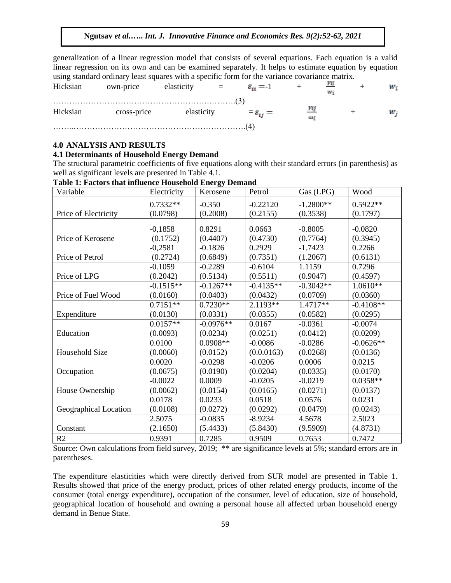generalization of a linear regression model that consists of several equations. Each equation is a valid linear regression on its own and can be examined separately. It helps to estimate equation by equation using standard ordinary least squares with a specific form for the variance covariance matrix.

| Hicksian | own-price   | elasticity | $\mathbf{r} = \mathbf{r}$ | $\varepsilon_{ii} = -1$            |    |  | w. |
|----------|-------------|------------|---------------------------|------------------------------------|----|--|----|
| Hicksian | cross-price | elasticity |                           | $\varepsilon = \varepsilon_{ij} =$ | نە |  | w. |
|          |             |            |                           |                                    |    |  |    |

## **4.0 ANALYSIS AND RESULTS**

#### **4.1 Determinants of Household Energy Demand**

The structural parametric coefficients of five equations along with their standard errors (in parenthesis) as well as significant levels are presented in Table 4.1.

| Variable              | Electricity | Kerosene    | Petrol             | Gas (LPG)   | Wood        |
|-----------------------|-------------|-------------|--------------------|-------------|-------------|
|                       | $0.7332**$  | $-0.350$    | $-0.22120$         | $-1.2800**$ | $0.5922**$  |
| Price of Electricity  | (0.0798)    | (0.2008)    | (0.2155)           | (0.3538)    | (0.1797)    |
|                       |             |             |                    |             |             |
|                       | $-0,1858$   | 0.8291      | 0.0663             | $-0.8005$   | $-0.0820$   |
| Price of Kerosene     | (0.1752)    | (0.4407)    | (0.4730)<br>0.2929 | (0.7764)    | (0.3945)    |
|                       | $-0,2581$   | $-0.1826$   |                    | $-1.7423$   | 0.2266      |
| Price of Petrol       | (0.2724)    | (0.6849)    | (0.7351)           | (1.2067)    | (0.6131)    |
|                       | $-0.1059$   | $-0.2289$   | $-0.6104$          | 1.1159      | 0.7296      |
| Price of LPG          | (0.2042)    | (0.5134)    | (0.5511)           | (0.9047)    | (0.4597)    |
|                       | $-0.1515**$ | $-0.1267**$ | $-0.4135**$        | $-0.3042**$ | $1.0610**$  |
| Price of Fuel Wood    | (0.0160)    | (0.0403)    | (0.0432)           | (0.0709)    | (0.0360)    |
|                       | $0.7151**$  | $0.7230**$  | $2.1193**$         | $1.4717**$  | $-0.4108**$ |
| Expenditure           | (0.0130)    | (0.0331)    | (0.0355)           | (0.0582)    | (0.0295)    |
|                       | $0.0157**$  | $-0.0976**$ | 0.0167             | $-0.0361$   | $-0.0074$   |
| Education             | (0.0093)    | (0.0234)    | (0.0251)           | (0.0412)    | (0.0209)    |
|                       | 0.0100      | $0.0908**$  | $-0.0086$          | $-0.0286$   | $-0.0626**$ |
| Household Size        | (0.0060)    | (0.0152)    | (0.0.0163)         | (0.0268)    | (0.0136)    |
|                       | 0.0020      | $-0.0298$   | $-0.0206$          | 0.0006      | 0.0215      |
| Occupation            | (0.0675)    | (0.0190)    | (0.0204)           | (0.0335)    | (0.0170)    |
|                       | $-0.0022$   | 0.0009      | $-0.0205$          | $-0.0219$   | $0.0358**$  |
| House Ownership       | (0.0062)    | (0.0154)    | (0.0165)           | (0.0271)    | (0.0137)    |
|                       | 0.0178      | 0.0233      | 0.0518             | 0.0576      | 0.0231      |
| Geographical Location | (0.0108)    | (0.0272)    | (0.0292)           | (0.0479)    | (0.0243)    |
|                       | 2.5075      | $-0.0835$   | $-8.9234$          | 4.5678      | 2.5023      |
| Constant              | (2.1650)    | (5.4433)    | (5.8430)           | (9.5909)    | (4.8731)    |
| R2                    | 0.9391      | 0.7285      | 0.9509             | 0.7653      | 0.7472      |

**Table 1: Factors that influence Household Energy Demand**

Source: Own calculations from field survey, 2019; \*\* are significance levels at 5%; standard errors are in parentheses.

The expenditure elasticities which were directly derived from SUR model are presented in Table 1. Results showed that price of the energy product, prices of other related energy products, income of the consumer (total energy expenditure), occupation of the consumer, level of education, size of household, geographical location of household and owning a personal house all affected urban household energy demand in Benue State.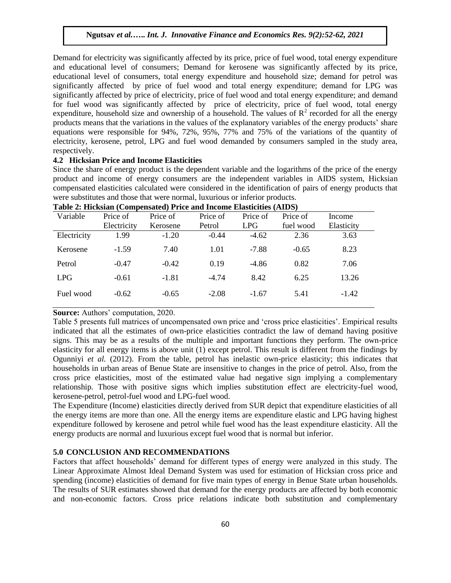Demand for electricity was significantly affected by its price, price of fuel wood, total energy expenditure and educational level of consumers; Demand for kerosene was significantly affected by its price, educational level of consumers, total energy expenditure and household size; demand for petrol was significantly affected by price of fuel wood and total energy expenditure; demand for LPG was significantly affected by price of electricity, price of fuel wood and total energy expenditure; and demand for fuel wood was significantly affected by price of electricity, price of fuel wood, total energy expenditure, household size and ownership of a household. The values of  $\mathbb{R}^2$  recorded for all the energy products means that the variations in the values of the explanatory variables of the energy products" share equations were responsible for 94%, 72%, 95%, 77% and 75% of the variations of the quantity of electricity, kerosene, petrol, LPG and fuel wood demanded by consumers sampled in the study area, respectively.

#### **4.2 Hicksian Price and Income Elasticities**

Since the share of energy product is the dependent variable and the logarithms of the price of the energy product and income of energy consumers are the independent variables in AIDS system, Hicksian compensated elasticities calculated were considered in the identification of pairs of energy products that were substitutes and those that were normal, luxurious or inferior products.

|             | Tuoit 21 Mithologin (Compensateur) I Mtc and Mitholme Mithological (MMD) (1 |          |          |          |           |            |  |  |
|-------------|-----------------------------------------------------------------------------|----------|----------|----------|-----------|------------|--|--|
| Variable    | Price of                                                                    | Price of | Price of | Price of | Price of  | Income     |  |  |
|             | Electricity                                                                 | Kerosene | Petrol   | LPG.     | fuel wood | Elasticity |  |  |
| Electricity | 1.99                                                                        | $-1.20$  | $-0.44$  | $-4.62$  | 2.36      | 3.63       |  |  |
| Kerosene    | $-1.59$                                                                     | 7.40     | 1.01     | $-7.88$  | $-0.65$   | 8.23       |  |  |
| Petrol      | $-0.47$                                                                     | $-0.42$  | 0.19     | $-4.86$  | 0.82      | 7.06       |  |  |
| LPG.        | $-0.61$                                                                     | $-1.81$  | $-4.74$  | 8.42     | 6.25      | 13.26      |  |  |
| Fuel wood   | $-0.62$                                                                     | $-0.65$  | $-2.08$  | $-1.67$  | 5.41      | $-1.42$    |  |  |
|             |                                                                             |          |          |          |           |            |  |  |

| Table 2: Hicksian (Compensated) Price and Income Elasticities (AIDS) |  |  |  |  |
|----------------------------------------------------------------------|--|--|--|--|
|----------------------------------------------------------------------|--|--|--|--|

**Source:** Authors' computation, 2020.

Table 5 presents full matrices of uncompensated own price and "cross price elasticities". Empirical results indicated that all the estimates of own-price elasticities contradict the law of demand having positive signs. This may be as a results of the multiple and important functions they perform. The own-price elasticity for all energy items is above unit (1) except petrol. This result is different from the findings by Ogunniyi *et al.* (2012). From the table, petrol has inelastic own-price elasticity; this indicates that households in urban areas of Benue State are insensitive to changes in the price of petrol. Also, from the cross price elasticities, most of the estimated value had negative sign implying a complementary relationship. Those with positive signs which implies substitution effect are electricity-fuel wood, kerosene-petrol, petrol-fuel wood and LPG-fuel wood.

The Expenditure (Income) elasticities directly derived from SUR depict that expenditure elasticities of all the energy items are more than one. All the energy items are expenditure elastic and LPG having highest expenditure followed by kerosene and petrol while fuel wood has the least expenditure elasticity. All the energy products are normal and luxurious except fuel wood that is normal but inferior.

#### **5.0 CONCLUSION AND RECOMMENDATIONS**

Factors that affect households" demand for different types of energy were analyzed in this study. The Linear Approximate Almost Ideal Demand System was used for estimation of Hicksian cross price and spending (income) elasticities of demand for five main types of energy in Benue State urban households. The results of SUR estimates showed that demand for the energy products are affected by both economic and non-economic factors. Cross price relations indicate both substitution and complementary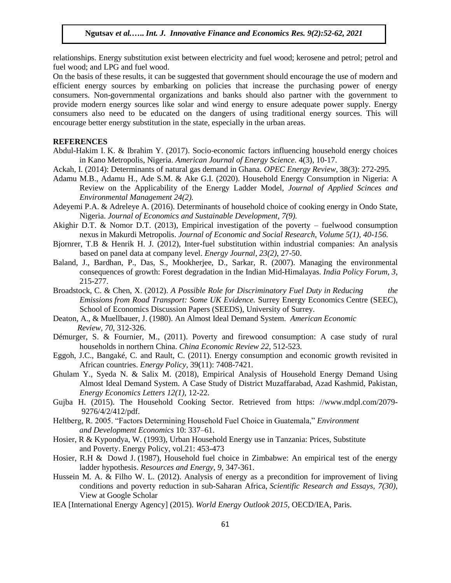relationships. Energy substitution exist between electricity and fuel wood; kerosene and petrol; petrol and fuel wood; and LPG and fuel wood.

On the basis of these results, it can be suggested that government should encourage the use of modern and efficient energy sources by embarking on policies that increase the purchasing power of energy consumers. Non-governmental organizations and banks should also partner with the government to provide modern energy sources like solar and wind energy to ensure adequate power supply. Energy consumers also need to be educated on the dangers of using traditional energy sources. This will encourage better energy substitution in the state, especially in the urban areas.

#### **REFERENCES**

- Abdul-Hakim I. K. & Ibrahim Y. (2017). Socio-economic factors influencing household energy choices in Kano Metropolis, Nigeria. *American Journal of Energy Science.* 4(3), 10-17.
- Ackah, I. (2014): Determinants of natural gas demand in Ghana. *OPEC Energy Review*, 38(3): 272-295.
- Adamu M.B., Adamu H., Ade S.M. & Ake G.I. (2020). Household Energy Consumption in Nigeria: A Review on the Applicability of the Energy Ladder Model, *Journal of Applied Scinces and Environmental Management 24(2).*
- Adeyemi P.A. & Adreleye A. (2016). Determinants of household choice of cooking energy in Ondo State, Nigeria. *Journal of Economics and Sustainable Development, 7(9).*
- Akighir D.T. & Nomor D.T. (2013), Empirical investigation of the poverty fuelwood consumption nexus in Makurdi Metropolis. *Journal of Economic and Social Research, Volume 5(1), 40-156.*
- Bjornrer, T.B & Henrik H. J. (2012), Inter-fuel substitution within industrial companies: An analysis based on panel data at company level. *Energy Journal, 23(2)*, 27-50.
- Baland, J., Bardhan, P., Das, S., Mookherjee, D., Sarkar, R. (2007). Managing the environmental consequences of growth: Forest degradation in the Indian Mid-Himalayas. *India Policy Forum, 3*, 215-277.
- Broadstock, C. & Chen, X. (2012). *A Possible Role for Discriminatory Fuel Duty in Reducing the Emissions from Road Transport: Some UK Evidence.* Surrey Energy Economics Centre (SEEC), School of Economics Discussion Papers (SEEDS), University of Surrey.
- Deaton, A., & Muellbauer, J. (1980). An Almost Ideal Demand System. *American Economic Review, 70*, 312-326.
- Démurger, S. & Fournier, M., (2011). Poverty and firewood consumption: A case study of rural households in northern China. *China Economic Review 22*, 512-523.
- Eggoh, J.C., Bangaké, C. and Rault, C. (2011). Energy consumption and economic growth revisited in African countries. *Energy Policy*, 39(11): 7408-7421.
- Ghulam Y., Syeda N. & Salix M. (2018), Empirical Analysis of Household Energy Demand Using Almost Ideal Demand System. A Case Study of District Muzaffarabad, Azad Kashmid, Pakistan, *Energy Economics Letters 12(1),* 12-22.
- Gujba H. (2015). The Household Cooking Sector. Retrieved from https: //www.mdpl.com/2079- 9276/4/2/412/pdf.
- Heltberg, R. 2005. "Factors Determining Household Fuel Choice in Guatemala," *Environment and Development Economics* 10: 337–61.
- Hosier, R & Kypondya, W. (1993), Urban Household Energy use in Tanzania: Prices, Substitute and Poverty. Energy Policy, vol.21: 453-473
- Hosier, R.H & Dowd J. (1987), Household fuel choice in Zimbabwe: An empirical test of the energy ladder hypothesis. *Resources and Energy, 9*, 347-361.
- Hussein M. A. & Filho W. L. (2012). Analysis of energy as a precondition for improvement of living conditions and poverty reduction in sub-Saharan Africa, *Scientific Research and Essays, 7(30),* View at Google Scholar
- IEA [International Energy Agency] (2015). *World Energy Outlook 2015*, OECD/IEA, Paris.